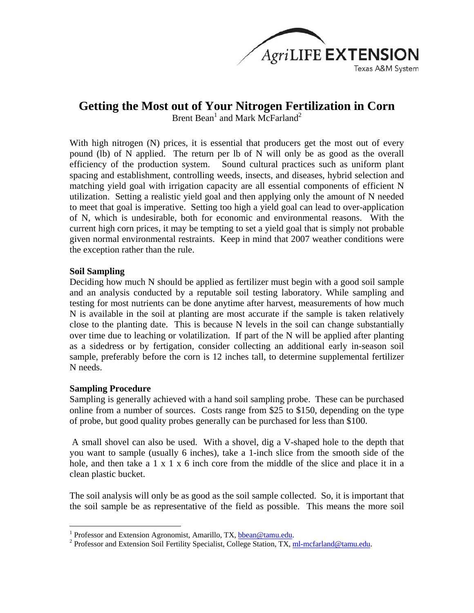

# **Getting the Most out of Your Nitrogen Fertilization in Corn**

Brent Bean<sup>1</sup> and Mark McFarland<sup>2</sup>

With high nitrogen (N) prices, it is essential that producers get the most out of every pound (lb) of N applied. The return per lb of N will only be as good as the overall efficiency of the production system. Sound cultural practices such as uniform plant spacing and establishment, controlling weeds, insects, and diseases, hybrid selection and matching yield goal with irrigation capacity are all essential components of efficient N utilization. Setting a realistic yield goal and then applying only the amount of N needed to meet that goal is imperative. Setting too high a yield goal can lead to over-application of N, which is undesirable, both for economic and environmental reasons. With the current high corn prices, it may be tempting to set a yield goal that is simply not probable given normal environmental restraints. Keep in mind that 2007 weather conditions were the exception rather than the rule.

### **Soil Sampling**

Deciding how much N should be applied as fertilizer must begin with a good soil sample and an analysis conducted by a reputable soil testing laboratory. While sampling and testing for most nutrients can be done anytime after harvest, measurements of how much N is available in the soil at planting are most accurate if the sample is taken relatively close to the planting date. This is because N levels in the soil can change substantially over time due to leaching or volatilization. If part of the N will be applied after planting as a sidedress or by fertigation, consider collecting an additional early in-season soil sample, preferably before the corn is 12 inches tall, to determine supplemental fertilizer N needs.

## **Sampling Procedure**

 $\overline{a}$ 

Sampling is generally achieved with a hand soil sampling probe. These can be purchased online from a number of sources. Costs range from \$25 to \$150, depending on the type of probe, but good quality probes generally can be purchased for less than \$100.

 A small shovel can also be used. With a shovel, dig a V-shaped hole to the depth that you want to sample (usually 6 inches), take a 1-inch slice from the smooth side of the hole, and then take a 1 x 1 x 6 inch core from the middle of the slice and place it in a clean plastic bucket.

The soil analysis will only be as good as the soil sample collected. So, it is important that the soil sample be as representative of the field as possible. This means the more soil

<sup>&</sup>lt;sup>1</sup> Professor and Extension Agronomist, Amarillo, TX,  $\underline{b}$  bean@tamu.edu.<br><sup>2</sup> Professor and Extension Soil Fertility Specialist, College Station, TX, n

<sup>&</sup>lt;sup>2</sup> Professor and Extension Soil Fertility Specialist, College Station, TX, ml-mcfarland@tamu.edu.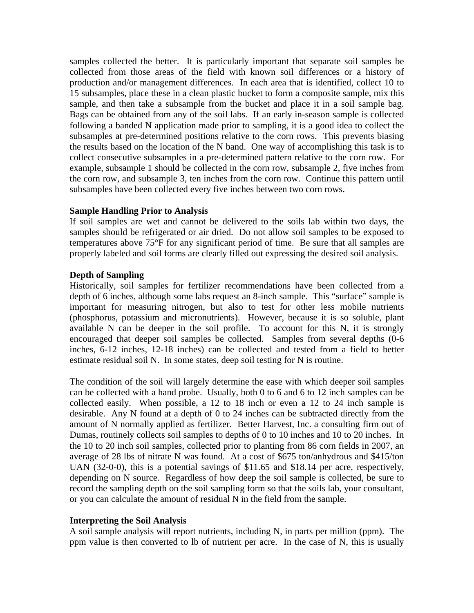samples collected the better. It is particularly important that separate soil samples be collected from those areas of the field with known soil differences or a history of production and/or management differences. In each area that is identified, collect 10 to 15 subsamples, place these in a clean plastic bucket to form a composite sample, mix this sample, and then take a subsample from the bucket and place it in a soil sample bag. Bags can be obtained from any of the soil labs. If an early in-season sample is collected following a banded N application made prior to sampling, it is a good idea to collect the subsamples at pre-determined positions relative to the corn rows. This prevents biasing the results based on the location of the N band. One way of accomplishing this task is to collect consecutive subsamples in a pre-determined pattern relative to the corn row. For example, subsample 1 should be collected in the corn row, subsample 2, five inches from the corn row, and subsample 3, ten inches from the corn row. Continue this pattern until subsamples have been collected every five inches between two corn rows.

### **Sample Handling Prior to Analysis**

If soil samples are wet and cannot be delivered to the soils lab within two days, the samples should be refrigerated or air dried. Do not allow soil samples to be exposed to temperatures above 75°F for any significant period of time. Be sure that all samples are properly labeled and soil forms are clearly filled out expressing the desired soil analysis.

## **Depth of Sampling**

Historically, soil samples for fertilizer recommendations have been collected from a depth of 6 inches, although some labs request an 8-inch sample. This "surface" sample is important for measuring nitrogen, but also to test for other less mobile nutrients (phosphorus, potassium and micronutrients). However, because it is so soluble, plant available N can be deeper in the soil profile. To account for this N, it is strongly encouraged that deeper soil samples be collected. Samples from several depths (0-6 inches, 6-12 inches, 12-18 inches) can be collected and tested from a field to better estimate residual soil N. In some states, deep soil testing for N is routine.

The condition of the soil will largely determine the ease with which deeper soil samples can be collected with a hand probe. Usually, both 0 to 6 and 6 to 12 inch samples can be collected easily. When possible, a 12 to 18 inch or even a 12 to 24 inch sample is desirable. Any N found at a depth of 0 to 24 inches can be subtracted directly from the amount of N normally applied as fertilizer. Better Harvest, Inc. a consulting firm out of Dumas, routinely collects soil samples to depths of 0 to 10 inches and 10 to 20 inches. In the 10 to 20 inch soil samples, collected prior to planting from 86 corn fields in 2007, an average of 28 lbs of nitrate N was found. At a cost of \$675 ton/anhydrous and \$415/ton UAN (32-0-0), this is a potential savings of \$11.65 and \$18.14 per acre, respectively, depending on N source. Regardless of how deep the soil sample is collected, be sure to record the sampling depth on the soil sampling form so that the soils lab, your consultant, or you can calculate the amount of residual N in the field from the sample.

### **Interpreting the Soil Analysis**

A soil sample analysis will report nutrients, including N, in parts per million (ppm). The ppm value is then converted to lb of nutrient per acre. In the case of N, this is usually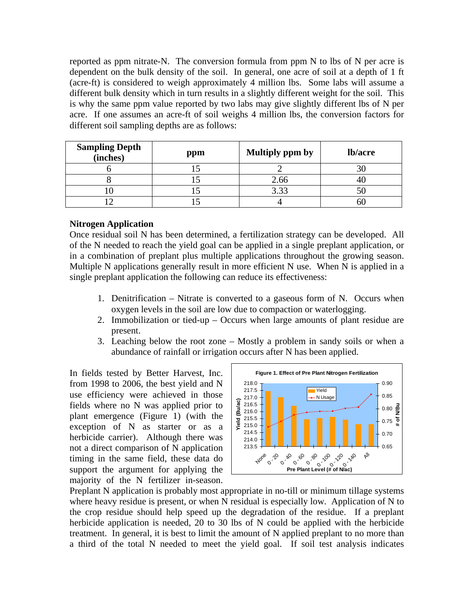reported as ppm nitrate-N. The conversion formula from ppm N to lbs of N per acre is dependent on the bulk density of the soil. In general, one acre of soil at a depth of 1 ft (acre-ft) is considered to weigh approximately 4 million lbs. Some labs will assume a different bulk density which in turn results in a slightly different weight for the soil. This is why the same ppm value reported by two labs may give slightly different lbs of N per acre. If one assumes an acre-ft of soil weighs 4 million lbs, the conversion factors for different soil sampling depths are as follows:

| <b>Sampling Depth</b><br>(inches) | ppm | <b>Multiply ppm by</b> | lb/acre |
|-----------------------------------|-----|------------------------|---------|
|                                   |     |                        |         |
|                                   |     | 2.66                   |         |
|                                   |     | 3.33                   |         |
|                                   |     |                        |         |

### **Nitrogen Application**

Once residual soil N has been determined, a fertilization strategy can be developed. All of the N needed to reach the yield goal can be applied in a single preplant application, or in a combination of preplant plus multiple applications throughout the growing season. Multiple N applications generally result in more efficient N use. When N is applied in a single preplant application the following can reduce its effectiveness:

- 1. Denitrification Nitrate is converted to a gaseous form of N. Occurs when oxygen levels in the soil are low due to compaction or waterlogging.
- 2. Immobilization or tied-up Occurs when large amounts of plant residue are present.
- 3. Leaching below the root zone Mostly a problem in sandy soils or when a abundance of rainfall or irrigation occurs after N has been applied.

In fields tested by Better Harvest, Inc. from 1998 to 2006, the best yield and N use efficiency were achieved in those fields where no N was applied prior to plant emergence (Figure 1) (with the exception of N as starter or as a herbicide carrier). Although there was not a direct comparison of N application timing in the same field, these data do support the argument for applying the majority of the N fertilizer in-season.



Preplant N application is probably most appropriate in no-till or minimum tillage systems where heavy residue is present, or when N residual is especially low. Application of N to the crop residue should help speed up the degradation of the residue. If a preplant herbicide application is needed, 20 to 30 lbs of N could be applied with the herbicide treatment. In general, it is best to limit the amount of N applied preplant to no more than a third of the total N needed to meet the yield goal. If soil test analysis indicates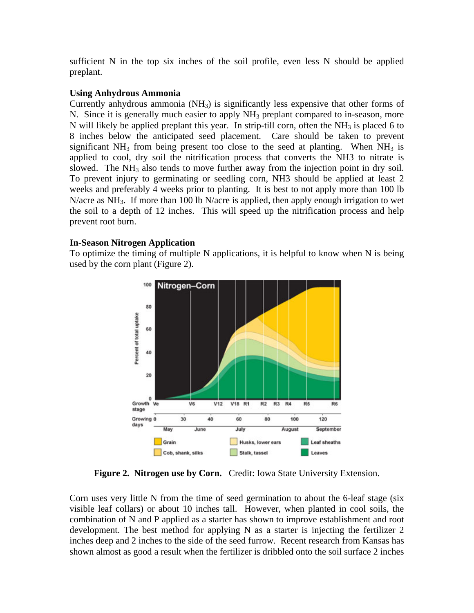sufficient N in the top six inches of the soil profile, even less N should be applied preplant.

## **Using Anhydrous Ammonia**

Currently anhydrous ammonia  $(NH_3)$  is significantly less expensive that other forms of N. Since it is generally much easier to apply NH<sub>3</sub> preplant compared to in-season, more N will likely be applied preplant this year. In strip-till corn, often the  $NH<sub>3</sub>$  is placed 6 to 8 inches below the anticipated seed placement. Care should be taken to prevent significant  $NH_3$  from being present too close to the seed at planting. When  $NH_3$  is applied to cool, dry soil the nitrification process that converts the NH3 to nitrate is slowed. The  $NH_3$  also tends to move further away from the injection point in dry soil. To prevent injury to germinating or seedling corn, NH3 should be applied at least 2 weeks and preferably 4 weeks prior to planting. It is best to not apply more than 100 lb N/acre as NH<sub>3</sub>. If more than 100 lb N/acre is applied, then apply enough irrigation to wet the soil to a depth of 12 inches. This will speed up the nitrification process and help prevent root burn.

## **In-Season Nitrogen Application**

To optimize the timing of multiple N applications, it is helpful to know when N is being used by the corn plant (Figure 2).



**Figure 2. Nitrogen use by Corn.** Credit: Iowa State University Extension.

Corn uses very little N from the time of seed germination to about the 6-leaf stage (six visible leaf collars) or about 10 inches tall. However, when planted in cool soils, the combination of N and P applied as a starter has shown to improve establishment and root development. The best method for applying N as a starter is injecting the fertilizer 2 inches deep and 2 inches to the side of the seed furrow. Recent research from Kansas has shown almost as good a result when the fertilizer is dribbled onto the soil surface 2 inches